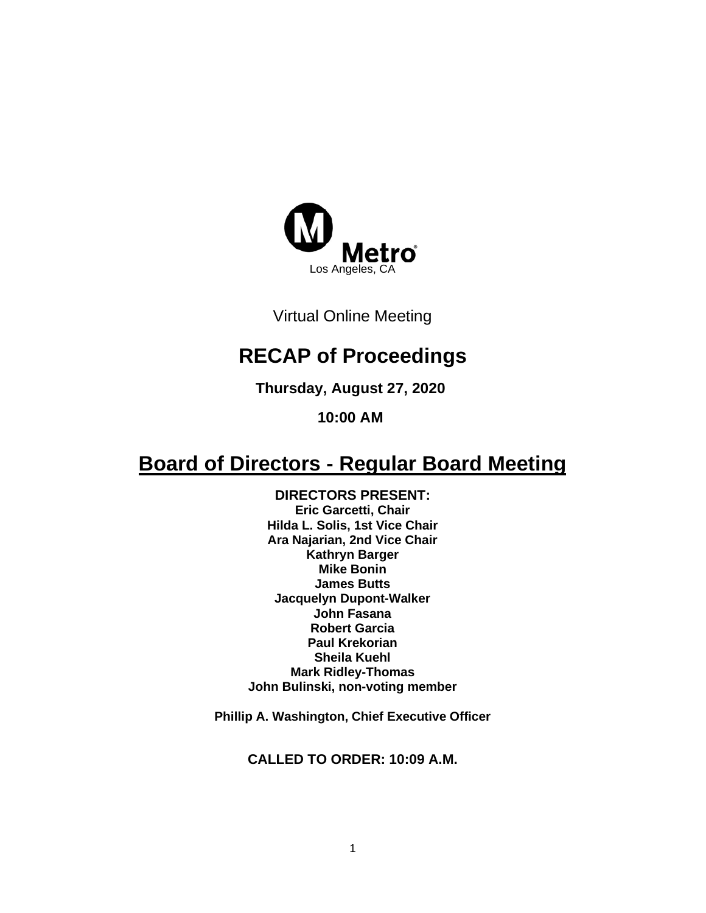

Virtual Online Meeting

# **RECAP of Proceedings**

**Thursday, August 27, 2020**

**10:00 AM**

# **Board of Directors - Regular Board Meeting**

**DIRECTORS PRESENT: Eric Garcetti, Chair Hilda L. Solis, 1st Vice Chair Ara Najarian, 2nd Vice Chair Kathryn Barger Mike Bonin James Butts Jacquelyn Dupont-Walker John Fasana Robert Garcia Paul Krekorian Sheila Kuehl Mark Ridley-Thomas John Bulinski, non-voting member**

**Phillip A. Washington, Chief Executive Officer**

**CALLED TO ORDER: 10:09 A.M.**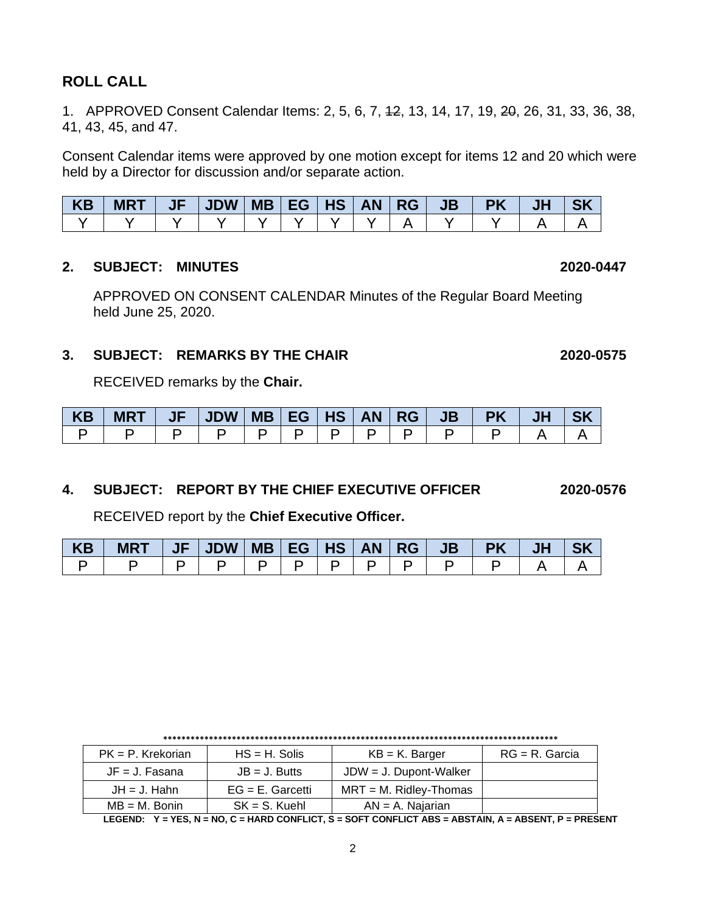## **ROLL CALL**

1. APPROVED Consent Calendar Items: 2, 5, 6, 7, 12, 13, 14, 17, 19, 20, 26, 31, 33, 36, 38, 41, 43, 45, and 47.

Consent Calendar items were approved by one motion except for items 12 and 20 which were held by a Director for discussion and/or separate action.

| <b>KB</b> | <b>MRT</b> | JF | <b>JDW</b> | $MB$ EG $\vert$ | <b>HS</b> | <b>AN</b> | <b>RG</b> | $\overline{AB}$ | <b>PK</b> |  |
|-----------|------------|----|------------|-----------------|-----------|-----------|-----------|-----------------|-----------|--|
|           |            |    |            |                 |           |           |           |                 |           |  |

## **2. SUBJECT: MINUTES 2020-0447**

APPROVED ON CONSENT CALENDAR Minutes of the Regular Board Meeting held June 25, 2020.

## **3. SUBJECT: REMARKS BY THE CHAIR 2020-0575**

RECEIVED remarks by the **Chair.**

| KB | <b>MRT</b> | JF' | $ $ JDW $ $ | $MB$ EG $\vert$ | HS | AN / | <b>RG</b> | JB' |  |  |
|----|------------|-----|-------------|-----------------|----|------|-----------|-----|--|--|
|    |            |     |             |                 |    |      |           |     |  |  |

## **4. SUBJECT: REPORT BY THE CHIEF EXECUTIVE OFFICER 2020-0576**

RECEIVED report by the **Chief Executive Officer.** 

| <b>KB</b> | <b>MRT</b> | $\vert$ JF $\vert$ JDW $\vert$ MB $\vert$ EG $\vert$ HS $\vert$ |  |  | AN   RG | JB | <b>PK</b> |  |
|-----------|------------|-----------------------------------------------------------------|--|--|---------|----|-----------|--|
|           |            |                                                                 |  |  |         |    |           |  |

| $PK = P$ . Krekorian | $HS = H$ . Solis    | $KB = K$ . Barger         | $RG = R$ . Garcia |
|----------------------|---------------------|---------------------------|-------------------|
| $JF = J$ . Fasana    | $JB = J.$ Butts     | $JDW = J$ . Dupont-Walker |                   |
| $JH = J$ . Hahn      | $EG = E$ . Garcetti | $MRT = M$ . Ridley-Thomas |                   |
| $MB = M.$ Bonin      | $SK = S$ . Kuehl    | $AN = A$ . Najarian       |                   |

#### **\*\*\*\*\*\*\*\*\*\*\*\*\*\*\*\*\*\*\*\*\*\*\*\*\*\*\*\*\*\*\*\*\*\*\*\*\*\*\*\*\*\*\*\*\*\*\*\*\*\*\*\*\*\*\*\*\*\*\*\*\*\*\*\*\*\*\*\*\*\*\*\*\*\*\*\*\*\*\*\*\*\*\*\*\*\***

**LEGEND: Y = YES, N = NO, C = HARD CONFLICT, S = SOFT CONFLICT ABS = ABSTAIN, A = ABSENT, P = PRESENT**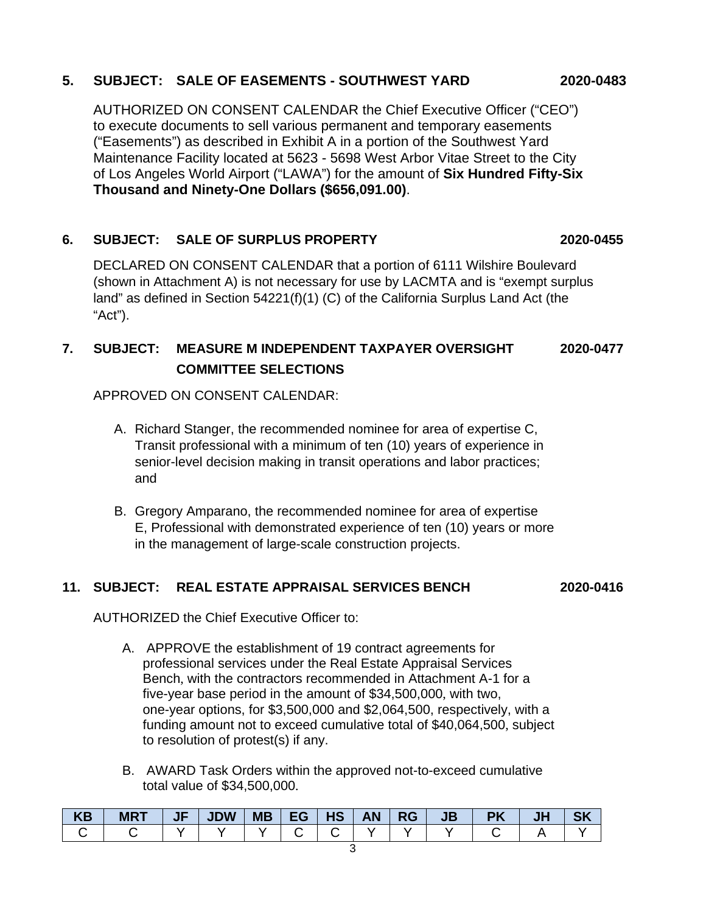## **5. SUBJECT: SALE OF EASEMENTS - SOUTHWEST YARD 2020-0483**

AUTHORIZED ON CONSENT CALENDAR the Chief Executive Officer ("CEO") to execute documents to sell various permanent and temporary easements ("Easements") as described in Exhibit A in a portion of the Southwest Yard Maintenance Facility located at 5623 - 5698 West Arbor Vitae Street to the City of Los Angeles World Airport ("LAWA") for the amount of **Six Hundred Fifty-Six Thousand and Ninety-One Dollars (\$656,091.00)**.

## **6. SUBJECT: SALE OF SURPLUS PROPERTY 2020-0455**

DECLARED ON CONSENT CALENDAR that a portion of 6111 Wilshire Boulevard (shown in Attachment A) is not necessary for use by LACMTA and is "exempt surplus land" as defined in Section 54221(f)(1) (C) of the California Surplus Land Act (the "Act").

## **7. SUBJECT: MEASURE M INDEPENDENT TAXPAYER OVERSIGHT 2020-0477 COMMITTEE SELECTIONS**

APPROVED ON CONSENT CALENDAR:

- A. Richard Stanger, the recommended nominee for area of expertise C, Transit professional with a minimum of ten (10) years of experience in senior-level decision making in transit operations and labor practices; and
- B. Gregory Amparano, the recommended nominee for area of expertise E, Professional with demonstrated experience of ten (10) years or more in the management of large-scale construction projects.

#### **11. SUBJECT: REAL ESTATE APPRAISAL SERVICES BENCH 2020-0416**

AUTHORIZED the Chief Executive Officer to:

- A. APPROVE the establishment of 19 contract agreements for professional services under the Real Estate Appraisal Services Bench, with the contractors recommended in Attachment A-1 for a five-year base period in the amount of \$34,500,000, with two, one-year options, for \$3,500,000 and \$2,064,500, respectively, with a funding amount not to exceed cumulative total of \$40,064,500, subject to resolution of protest(s) if any.
- B. AWARD Task Orders within the approved not-to-exceed cumulative total value of \$34,500,000.

| <b>KB</b> | <b>MRT</b> | <b>JF</b> | <b>JDW</b> | <b>MB</b> | EG. | <b>HS</b> | <b>AN</b><br>. . | RG | JB | ΡK | ш. |  |
|-----------|------------|-----------|------------|-----------|-----|-----------|------------------|----|----|----|----|--|
|           |            |           |            |           |     |           |                  |    |    |    |    |  |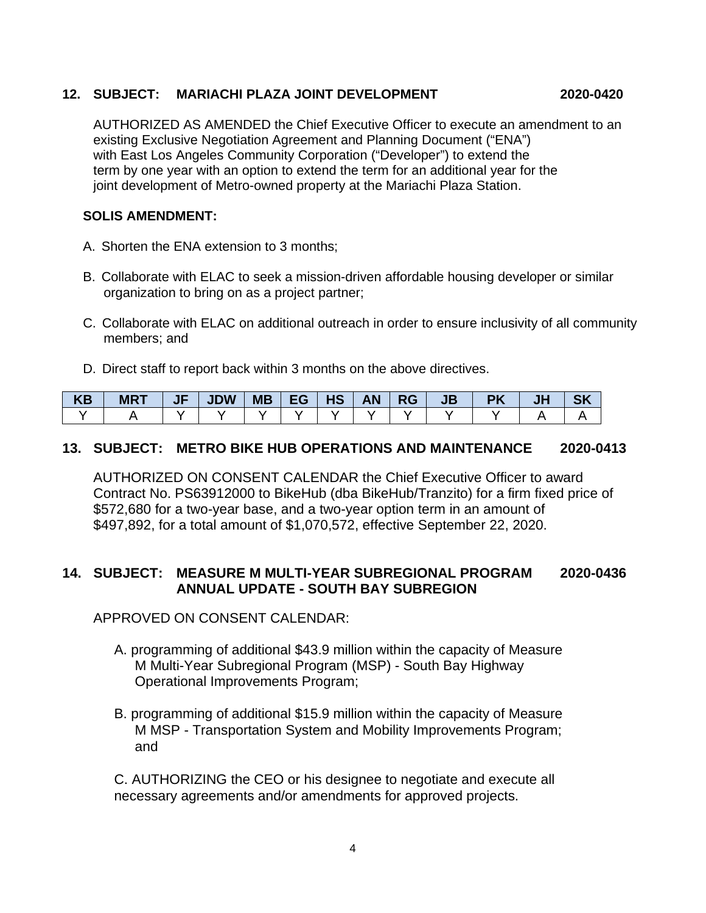### **12. SUBJECT: MARIACHI PLAZA JOINT DEVELOPMENT 2020-0420**

AUTHORIZED AS AMENDED the Chief Executive Officer to execute an amendment to an existing Exclusive Negotiation Agreement and Planning Document ("ENA") with East Los Angeles Community Corporation ("Developer") to extend the term by one year with an option to extend the term for an additional year for the joint development of Metro-owned property at the Mariachi Plaza Station.

## **SOLIS AMENDMENT:**

- A. Shorten the ENA extension to 3 months;
- B. Collaborate with ELAC to seek a mission-driven affordable housing developer or similar organization to bring on as a project partner;
- C. Collaborate with ELAC on additional outreach in order to ensure inclusivity of all community members; and
- D. Direct staff to report back within 3 months on the above directives.

| KP | <b>MR7</b> | JI | <b>JDW</b> | <b>MB</b> | $\mathsf{E}$ $\mathsf{E}$ | <b>HS</b> | <b>AN</b> | RG | JB |  |  |
|----|------------|----|------------|-----------|---------------------------|-----------|-----------|----|----|--|--|
|    |            |    |            |           |                           |           |           |    |    |  |  |

## **13. SUBJECT: METRO BIKE HUB OPERATIONS AND MAINTENANCE 2020-0413**

AUTHORIZED ON CONSENT CALENDAR the Chief Executive Officer to award Contract No. PS63912000 to BikeHub (dba BikeHub/Tranzito) for a firm fixed price of \$572,680 for a two-year base, and a two-year option term in an amount of \$497,892, for a total amount of \$1,070,572, effective September 22, 2020.

## **14. SUBJECT: MEASURE M MULTI-YEAR SUBREGIONAL PROGRAM 2020-0436 ANNUAL UPDATE - SOUTH BAY SUBREGION**

APPROVED ON CONSENT CALENDAR:

- A. programming of additional \$43.9 million within the capacity of Measure M Multi-Year Subregional Program (MSP) - South Bay Highway Operational Improvements Program;
- B. programming of additional \$15.9 million within the capacity of Measure M MSP - Transportation System and Mobility Improvements Program; and

C. AUTHORIZING the CEO or his designee to negotiate and execute all necessary agreements and/or amendments for approved projects.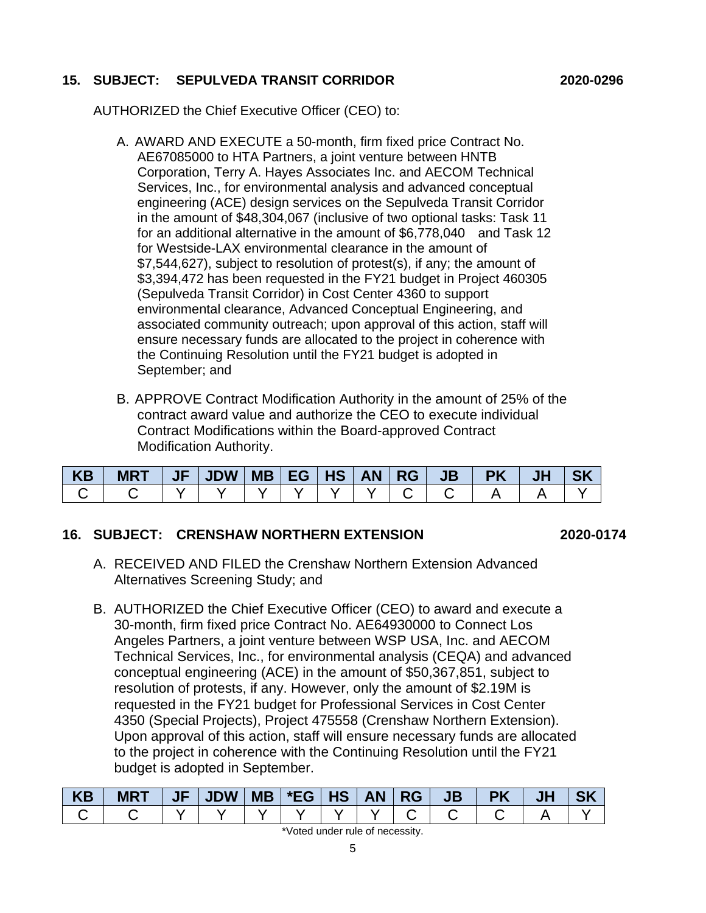## **15. SUBJECT: SEPULVEDA TRANSIT CORRIDOR 2020-0296**

AUTHORIZED the Chief Executive Officer (CEO) to:

- A. AWARD AND EXECUTE a 50-month, firm fixed price Contract No. AE67085000 to HTA Partners, a joint venture between HNTB Corporation, Terry A. Hayes Associates Inc. and AECOM Technical Services, Inc., for environmental analysis and advanced conceptual engineering (ACE) design services on the Sepulveda Transit Corridor in the amount of \$48,304,067 (inclusive of two optional tasks: Task 11 for an additional alternative in the amount of \$6,778,040 and Task 12 for Westside-LAX environmental clearance in the amount of \$7,544,627), subject to resolution of protest(s), if any; the amount of \$3,394,472 has been requested in the FY21 budget in Project 460305 (Sepulveda Transit Corridor) in Cost Center 4360 to support environmental clearance, Advanced Conceptual Engineering, and associated community outreach; upon approval of this action, staff will ensure necessary funds are allocated to the project in coherence with the Continuing Resolution until the FY21 budget is adopted in September; and
- B. APPROVE Contract Modification Authority in the amount of 25% of the contract award value and authorize the CEO to execute individual Contract Modifications within the Board-approved Contract Modification Authority.

| <b>KB</b> | <b>MRT</b> | JF | <b>JDW</b> | MB   EG | H <sub>S</sub> | AM | <b>RG</b> | JB | <b>PK</b> |  |
|-----------|------------|----|------------|---------|----------------|----|-----------|----|-----------|--|
|           |            |    |            |         |                |    |           |    |           |  |

## **16. SUBJECT: CRENSHAW NORTHERN EXTENSION 2020-0174**

- A. RECEIVED AND FILED the Crenshaw Northern Extension Advanced Alternatives Screening Study; and
- B. AUTHORIZED the Chief Executive Officer (CEO) to award and execute a 30-month, firm fixed price Contract No. AE64930000 to Connect Los Angeles Partners, a joint venture between WSP USA, Inc. and AECOM Technical Services, Inc., for environmental analysis (CEQA) and advanced conceptual engineering (ACE) in the amount of \$50,367,851, subject to resolution of protests, if any. However, only the amount of \$2.19M is requested in the FY21 budget for Professional Services in Cost Center 4350 (Special Projects), Project 475558 (Crenshaw Northern Extension). Upon approval of this action, staff will ensure necessary funds are allocated to the project in coherence with the Continuing Resolution until the FY21 budget is adopted in September.

| <b>KB</b> | <b>MRT</b> | JF   JDW   MB   *EG   HS   AN   RG   / |  |  | JB | <b>PK</b> |  |
|-----------|------------|----------------------------------------|--|--|----|-----------|--|
|           |            |                                        |  |  |    |           |  |

\*Voted under rule of necessity.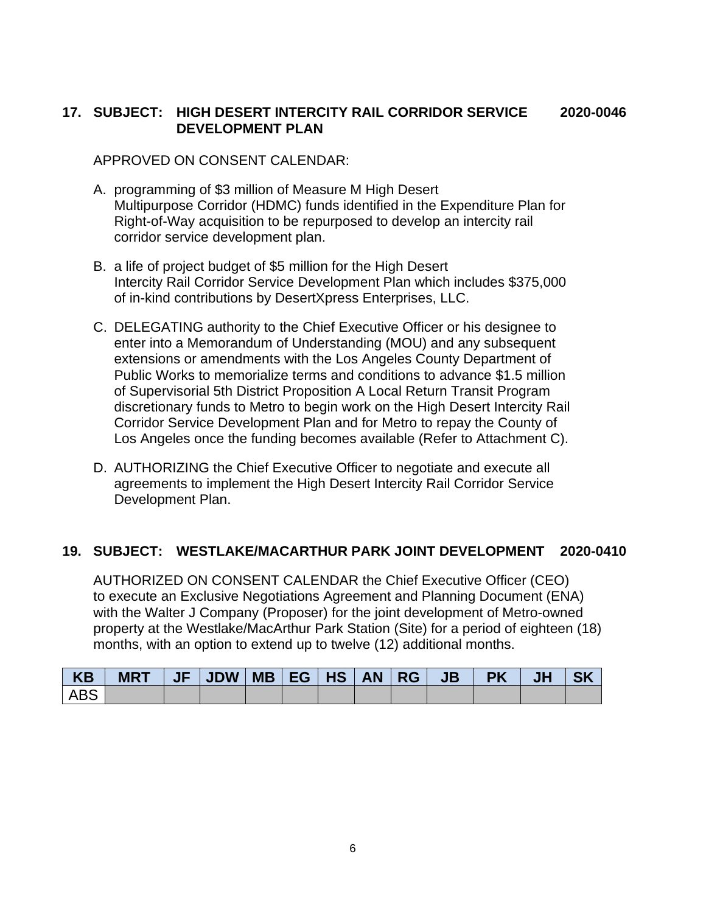## **17. SUBJECT: HIGH DESERT INTERCITY RAIL CORRIDOR SERVICE 2020-0046 DEVELOPMENT PLAN**

APPROVED ON CONSENT CALENDAR:

- A. programming of \$3 million of Measure M High Desert Multipurpose Corridor (HDMC) funds identified in the Expenditure Plan for Right-of-Way acquisition to be repurposed to develop an intercity rail corridor service development plan.
- B. a life of project budget of \$5 million for the High Desert Intercity Rail Corridor Service Development Plan which includes \$375,000 of in-kind contributions by DesertXpress Enterprises, LLC.
- C. DELEGATING authority to the Chief Executive Officer or his designee to enter into a Memorandum of Understanding (MOU) and any subsequent extensions or amendments with the Los Angeles County Department of Public Works to memorialize terms and conditions to advance \$1.5 million of Supervisorial 5th District Proposition A Local Return Transit Program discretionary funds to Metro to begin work on the High Desert Intercity Rail Corridor Service Development Plan and for Metro to repay the County of Los Angeles once the funding becomes available (Refer to Attachment C).
- D. AUTHORIZING the Chief Executive Officer to negotiate and execute all agreements to implement the High Desert Intercity Rail Corridor Service Development Plan.

## **19. SUBJECT: WESTLAKE/MACARTHUR PARK JOINT DEVELOPMENT 2020-0410**

AUTHORIZED ON CONSENT CALENDAR the Chief Executive Officer (CEO) to execute an Exclusive Negotiations Agreement and Planning Document (ENA) with the Walter J Company (Proposer) for the joint development of Metro-owned property at the Westlake/MacArthur Park Station (Site) for a period of eighteen (18) months, with an option to extend up to twelve (12) additional months.

| l ABS |  |  |  |  |  |  |
|-------|--|--|--|--|--|--|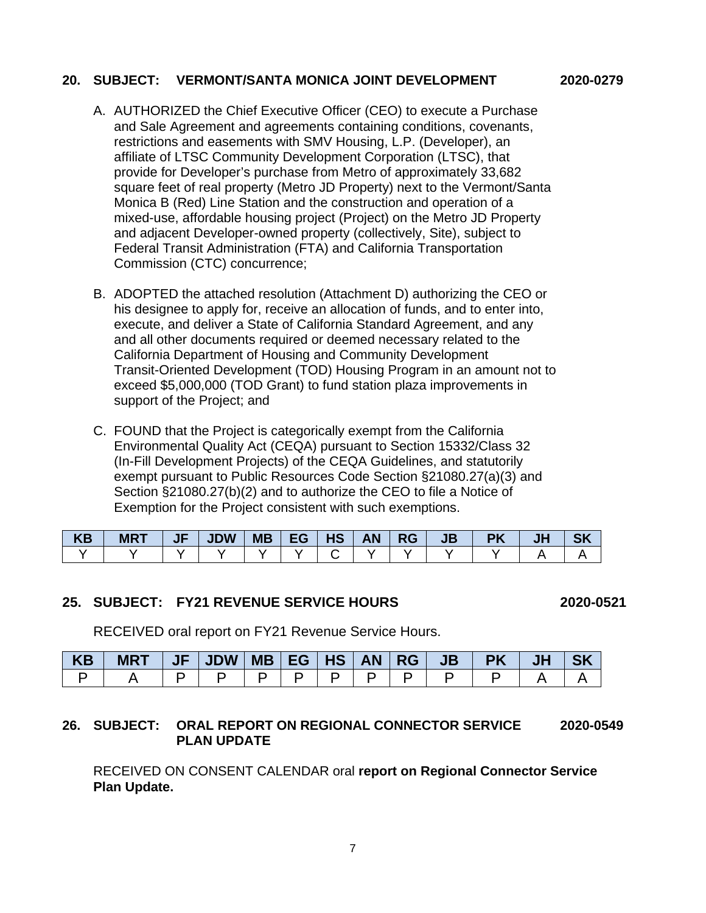#### **20. SUBJECT: VERMONT/SANTA MONICA JOINT DEVELOPMENT 2020-0279**

- A. AUTHORIZED the Chief Executive Officer (CEO) to execute a Purchase and Sale Agreement and agreements containing conditions, covenants, restrictions and easements with SMV Housing, L.P. (Developer), an affiliate of LTSC Community Development Corporation (LTSC), that provide for Developer's purchase from Metro of approximately 33,682 square feet of real property (Metro JD Property) next to the Vermont/Santa Monica B (Red) Line Station and the construction and operation of a mixed-use, affordable housing project (Project) on the Metro JD Property and adjacent Developer-owned property (collectively, Site), subject to Federal Transit Administration (FTA) and California Transportation Commission (CTC) concurrence;
- B. ADOPTED the attached resolution (Attachment D) authorizing the CEO or his designee to apply for, receive an allocation of funds, and to enter into, execute, and deliver a State of California Standard Agreement, and any and all other documents required or deemed necessary related to the California Department of Housing and Community Development Transit-Oriented Development (TOD) Housing Program in an amount not to exceed \$5,000,000 (TOD Grant) to fund station plaza improvements in support of the Project; and
- C. FOUND that the Project is categorically exempt from the California Environmental Quality Act (CEQA) pursuant to Section 15332/Class 32 (In-Fill Development Projects) of the CEQA Guidelines, and statutorily exempt pursuant to Public Resources Code Section §21080.27(a)(3) and Section §21080.27(b)(2) and to authorize the CEO to file a Notice of Exemption for the Project consistent with such exemptions.

| <b>KB</b> | <b>MRT</b> | JF | <b>JDW</b> | <b>MB</b> | EG | <b>HS</b> | AN | <b>RG</b> | <b>JB</b> | <b>PK</b> |  |
|-----------|------------|----|------------|-----------|----|-----------|----|-----------|-----------|-----------|--|
|           |            |    |            |           |    |           |    |           |           |           |  |

#### **25. SUBJECT: FY21 REVENUE SERVICE HOURS 2020-0521**

RECEIVED oral report on FY21 Revenue Service Hours.

| <b>KB</b> | <b>MRT</b> | $ $ JF $ $ JDW $ $ MB $ $ EG $ $ |  | <b>HS AN</b> | RG | JB   PK |  |  |
|-----------|------------|----------------------------------|--|--------------|----|---------|--|--|
|           |            |                                  |  |              |    |         |  |  |

#### **26. SUBJECT: ORAL REPORT ON REGIONAL CONNECTOR SERVICE 2020-0549 PLAN UPDATE**

RECEIVED ON CONSENT CALENDAR oral **report on Regional Connector Service Plan Update.**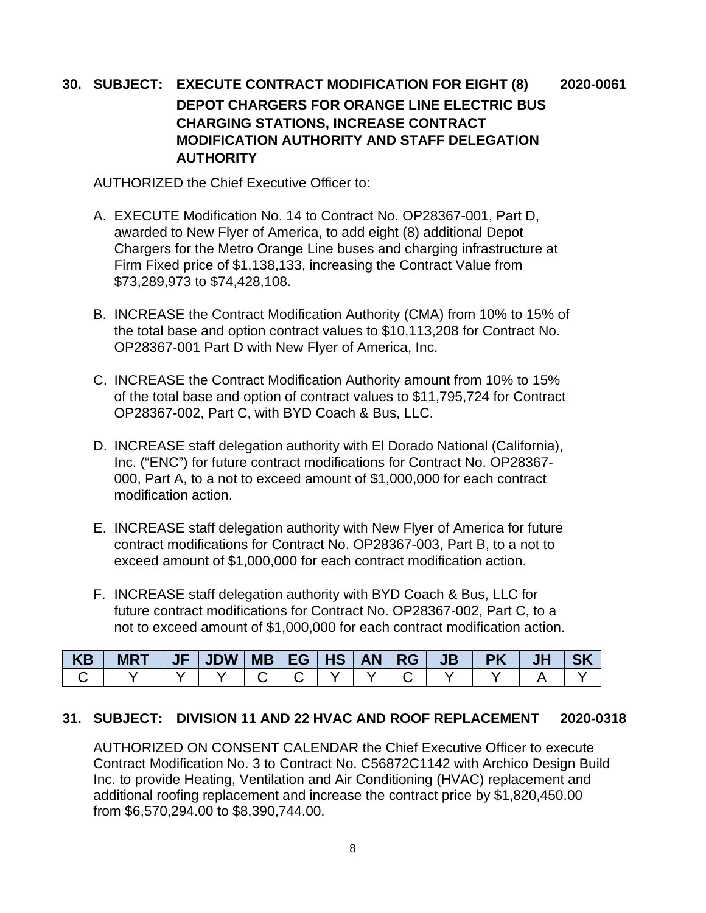## **30. SUBJECT: EXECUTE CONTRACT MODIFICATION FOR EIGHT (8) 2020-0061 DEPOT CHARGERS FOR ORANGE LINE ELECTRIC BUS CHARGING STATIONS, INCREASE CONTRACT MODIFICATION AUTHORITY AND STAFF DELEGATION AUTHORITY**

AUTHORIZED the Chief Executive Officer to:

- A. EXECUTE Modification No. 14 to Contract No. OP28367-001, Part D, awarded to New Flyer of America, to add eight (8) additional Depot Chargers for the Metro Orange Line buses and charging infrastructure at Firm Fixed price of \$1,138,133, increasing the Contract Value from \$73,289,973 to \$74,428,108.
- B. INCREASE the Contract Modification Authority (CMA) from 10% to 15% of the total base and option contract values to \$10,113,208 for Contract No. OP28367-001 Part D with New Flyer of America, Inc.
- C. INCREASE the Contract Modification Authority amount from 10% to 15% of the total base and option of contract values to \$11,795,724 for Contract OP28367-002, Part C, with BYD Coach & Bus, LLC.
- D. INCREASE staff delegation authority with El Dorado National (California), Inc. ("ENC") for future contract modifications for Contract No. OP28367- 000, Part A, to a not to exceed amount of \$1,000,000 for each contract modification action.
- E. INCREASE staff delegation authority with New Flyer of America for future contract modifications for Contract No. OP28367-003, Part B, to a not to exceed amount of \$1,000,000 for each contract modification action.
- F. INCREASE staff delegation authority with BYD Coach & Bus, LLC for future contract modifications for Contract No. OP28367-002, Part C, to a not to exceed amount of \$1,000,000 for each contract modification action.

| <b>KB</b> | <b>MRT</b> | <b>JF</b> | JDW | $MB$ EG $ $ HS $ $ AN |  | <b>RG</b> | J <sub>B</sub> | <b>PK</b> | JN |  |
|-----------|------------|-----------|-----|-----------------------|--|-----------|----------------|-----------|----|--|
|           |            |           |     |                       |  |           |                |           |    |  |

## **31. SUBJECT: DIVISION 11 AND 22 HVAC AND ROOF REPLACEMENT 2020-0318**

AUTHORIZED ON CONSENT CALENDAR the Chief Executive Officer to execute Contract Modification No. 3 to Contract No. C56872C1142 with Archico Design Build Inc. to provide Heating, Ventilation and Air Conditioning (HVAC) replacement and additional roofing replacement and increase the contract price by \$1,820,450.00 from \$6,570,294.00 to \$8,390,744.00.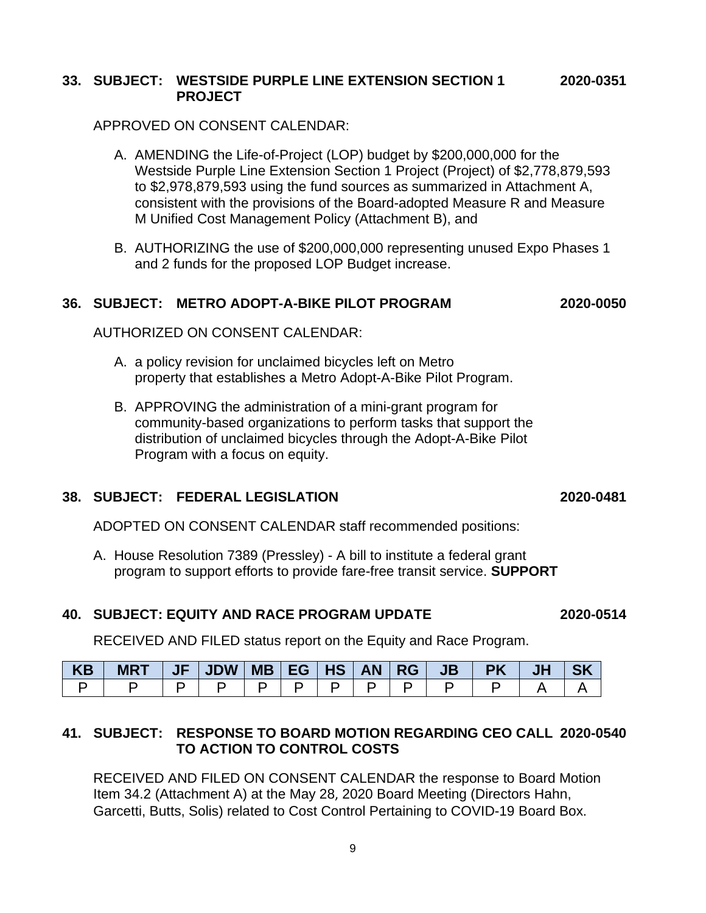## **33. SUBJECT: WESTSIDE PURPLE LINE EXTENSION SECTION 1 2020-0351 PROJECT**

## APPROVED ON CONSENT CALENDAR:

- A. AMENDING the Life-of-Project (LOP) budget by \$200,000,000 for the Westside Purple Line Extension Section 1 Project (Project) of \$2,778,879,593 to \$2,978,879,593 using the fund sources as summarized in Attachment A, consistent with the provisions of the Board-adopted Measure R and Measure M Unified Cost Management Policy (Attachment B), and
- B. AUTHORIZING the use of \$200,000,000 representing unused Expo Phases 1 and 2 funds for the proposed LOP Budget increase.

## **36. SUBJECT: METRO ADOPT-A-BIKE PILOT PROGRAM 2020-0050**

AUTHORIZED ON CONSENT CALENDAR:

- A. a policy revision for unclaimed bicycles left on Metro property that establishes a Metro Adopt-A-Bike Pilot Program.
- B. APPROVING the administration of a mini-grant program for community-based organizations to perform tasks that support the distribution of unclaimed bicycles through the Adopt-A-Bike Pilot Program with a focus on equity.

## **38. SUBJECT: FEDERAL LEGISLATION 2020-0481**

ADOPTED ON CONSENT CALENDAR staff recommended positions:

A. House Resolution 7389 (Pressley) - A bill to institute a federal grant program to support efforts to provide fare-free transit service. **SUPPORT**

## **40. SUBJECT: EQUITY AND RACE PROGRAM UPDATE 2020-0514**

RECEIVED AND FILED status report on the Equity and Race Program.

| KB | <b>MRT</b> | $ JF $ JDW $ MB $ EG $ RS $ AN $ RG $ JB |  |  |  | <b>PK</b> | JH | <b>SK</b> |
|----|------------|------------------------------------------|--|--|--|-----------|----|-----------|
|    |            |                                          |  |  |  |           |    |           |

## **41. SUBJECT: RESPONSE TO BOARD MOTION REGARDING CEO CALL 2020-0540 TO ACTION TO CONTROL COSTS**

RECEIVED AND FILED ON CONSENT CALENDAR the response to Board Motion Item 34.2 (Attachment A) at the May 28, 2020 Board Meeting (Directors Hahn, Garcetti, Butts, Solis) related to Cost Control Pertaining to COVID-19 Board Box.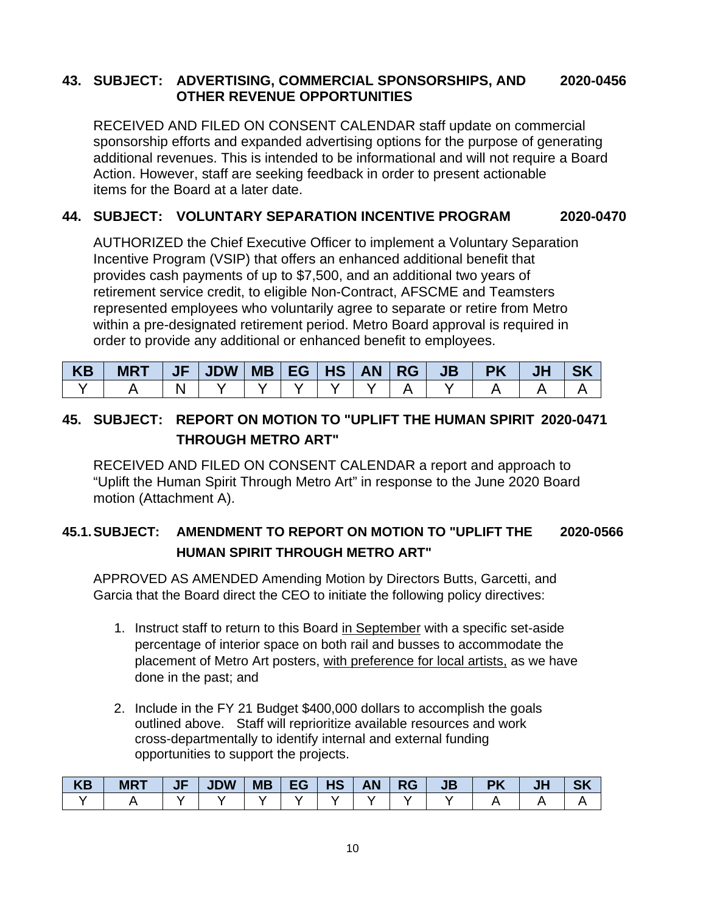## **43. SUBJECT: ADVERTISING, COMMERCIAL SPONSORSHIPS, AND 2020-0456 OTHER REVENUE OPPORTUNITIES**

RECEIVED AND FILED ON CONSENT CALENDAR staff update on commercial sponsorship efforts and expanded advertising options for the purpose of generating additional revenues. This is intended to be informational and will not require a Board Action. However, staff are seeking feedback in order to present actionable items for the Board at a later date.

## **44. SUBJECT: VOLUNTARY SEPARATION INCENTIVE PROGRAM 2020-0470**

AUTHORIZED the Chief Executive Officer to implement a Voluntary Separation Incentive Program (VSIP) that offers an enhanced additional benefit that provides cash payments of up to \$7,500, and an additional two years of retirement service credit, to eligible Non-Contract, AFSCME and Teamsters represented employees who voluntarily agree to separate or retire from Metro within a pre-designated retirement period. Metro Board approval is required in order to provide any additional or enhanced benefit to employees.

| <b>KB</b> | <b>MRT</b> | JF   JDW   MB   EG   HS   AN   RG |  |  | JB | <b>PK</b> |  |
|-----------|------------|-----------------------------------|--|--|----|-----------|--|
|           |            |                                   |  |  |    |           |  |

## **45. SUBJECT: REPORT ON MOTION TO "UPLIFT THE HUMAN SPIRIT 2020-0471 THROUGH METRO ART"**

RECEIVED AND FILED ON CONSENT CALENDAR a report and approach to "Uplift the Human Spirit Through Metro Art" in response to the June 2020 Board motion (Attachment A).

## **45.1.SUBJECT: AMENDMENT TO REPORT ON MOTION TO "UPLIFT THE 2020-0566 HUMAN SPIRIT THROUGH METRO ART"**

APPROVED AS AMENDED Amending Motion by Directors Butts, Garcetti, and Garcia that the Board direct the CEO to initiate the following policy directives:

- 1. Instruct staff to return to this Board in September with a specific set-aside percentage of interior space on both rail and busses to accommodate the placement of Metro Art posters, with preference for local artists, as we have done in the past; and
- 2. Include in the FY 21 Budget \$400,000 dollars to accomplish the goals outlined above. Staff will reprioritize available resources and work cross-departmentally to identify internal and external funding opportunities to support the projects.

| <b>KB</b> | <b>MRT</b> | <b>JF</b> | <b>JDW</b> | <b>MB</b> | EG | <b>HS</b> | <b>AN</b> | <b>RG</b> | <b>JB</b> | <b>D</b> | w. | $\sim$ $\prime$ |
|-----------|------------|-----------|------------|-----------|----|-----------|-----------|-----------|-----------|----------|----|-----------------|
|           |            |           |            |           |    |           |           |           |           |          |    |                 |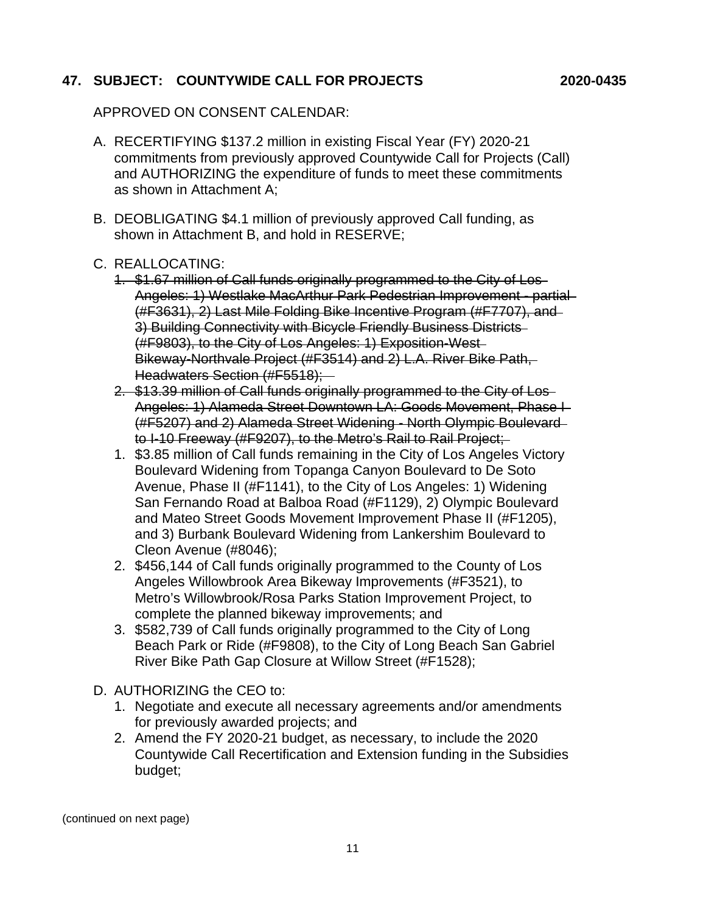## **47. SUBJECT: COUNTYWIDE CALL FOR PROJECTS 2020-0435**

APPROVED ON CONSENT CALENDAR:

- A. RECERTIFYING \$137.2 million in existing Fiscal Year (FY) 2020-21 commitments from previously approved Countywide Call for Projects (Call) and AUTHORIZING the expenditure of funds to meet these commitments as shown in Attachment A;
- B. DEOBLIGATING \$4.1 million of previously approved Call funding, as shown in Attachment B, and hold in RESERVE;
- C. REALLOCATING:
	- 1. \$1.67 million of Call funds originally programmed to the City of Los Angeles: 1) Westlake MacArthur Park Pedestrian Improvement - partial (#F3631), 2) Last Mile Folding Bike Incentive Program (#F7707), and 3) Building Connectivity with Bicycle Friendly Business Districts (#F9803), to the City of Los Angeles: 1) Exposition-West Bikeway-Northvale Project (#F3514) and 2) L.A. River Bike Path, Headwaters Section (#F5518);
	- 2. \$13.39 million of Call funds originally programmed to the City of Los Angeles: 1) Alameda Street Downtown LA: Goods Movement, Phase I (#F5207) and 2) Alameda Street Widening - North Olympic Boulevard to I-10 Freeway (#F9207), to the Metro's Rail to Rail Project;
	- 1. \$3.85 million of Call funds remaining in the City of Los Angeles Victory Boulevard Widening from Topanga Canyon Boulevard to De Soto Avenue, Phase II (#F1141), to the City of Los Angeles: 1) Widening San Fernando Road at Balboa Road (#F1129), 2) Olympic Boulevard and Mateo Street Goods Movement Improvement Phase II (#F1205), and 3) Burbank Boulevard Widening from Lankershim Boulevard to Cleon Avenue (#8046);
	- 2. \$456,144 of Call funds originally programmed to the County of Los Angeles Willowbrook Area Bikeway Improvements (#F3521), to Metro's Willowbrook/Rosa Parks Station Improvement Project, to complete the planned bikeway improvements; and
	- 3. \$582,739 of Call funds originally programmed to the City of Long Beach Park or Ride (#F9808), to the City of Long Beach San Gabriel River Bike Path Gap Closure at Willow Street (#F1528);
- D. AUTHORIZING the CEO to:
	- 1. Negotiate and execute all necessary agreements and/or amendments for previously awarded projects; and
	- 2. Amend the FY 2020-21 budget, as necessary, to include the 2020 Countywide Call Recertification and Extension funding in the Subsidies budget;

(continued on next page)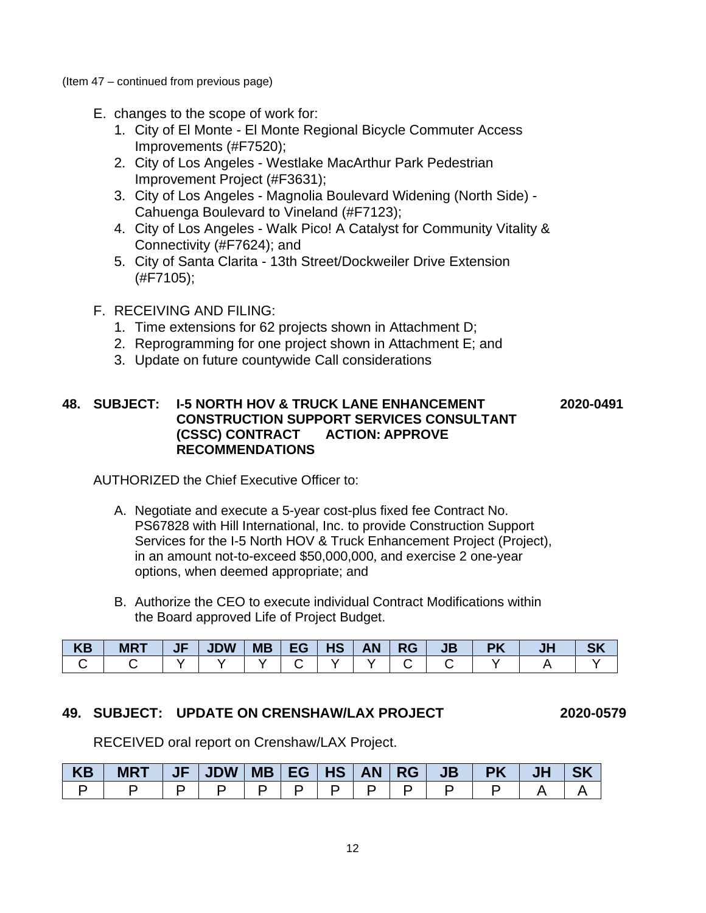(Item 47 – continued from previous page)

- E. changes to the scope of work for:
	- 1. City of El Monte El Monte Regional Bicycle Commuter Access Improvements (#F7520);
	- 2. City of Los Angeles Westlake MacArthur Park Pedestrian Improvement Project (#F3631);
	- 3. City of Los Angeles Magnolia Boulevard Widening (North Side) Cahuenga Boulevard to Vineland (#F7123);
	- 4. City of Los Angeles Walk Pico! A Catalyst for Community Vitality & Connectivity (#F7624); and
	- 5. City of Santa Clarita 13th Street/Dockweiler Drive Extension (#F7105);
- F. RECEIVING AND FILING:
	- 1. Time extensions for 62 projects shown in Attachment D;
	- 2. Reprogramming for one project shown in Attachment E; and
	- 3. Update on future countywide Call considerations

### **48. SUBJECT: I-5 NORTH HOV & TRUCK LANE ENHANCEMENT 2020-0491 CONSTRUCTION SUPPORT SERVICES CONSULTANT (CSSC) CONTRACT ACTION: APPROVE RECOMMENDATIONS**

AUTHORIZED the Chief Executive Officer to:

- A. Negotiate and execute a 5-year cost-plus fixed fee Contract No. PS67828 with Hill International, Inc. to provide Construction Support Services for the I-5 North HOV & Truck Enhancement Project (Project), in an amount not-to-exceed \$50,000,000, and exercise 2 one-year options, when deemed appropriate; and
- B. Authorize the CEO to execute individual Contract Modifications within the Board approved Life of Project Budget.

| <b>KB</b> | MR <sub>1</sub> | <b>JF</b> | <b>JDW</b> | <b>MB</b> | <b>EG</b> | HS | <b>AN</b> | <b>RG</b> | <b>JB</b> |  | $\sim$ |
|-----------|-----------------|-----------|------------|-----------|-----------|----|-----------|-----------|-----------|--|--------|
|           |                 |           |            |           |           |    |           |           |           |  |        |

## **49. SUBJECT: UPDATE ON CRENSHAW/LAX PROJECT 2020-0579**

RECEIVED oral report on Crenshaw/LAX Project.

| <b>KB</b> | <b>MRT</b> | JF' | <b>JDW</b> | $MB$ EG $ HS $ | AN/ | RG | JB' | <b>PK</b> | JF |  |
|-----------|------------|-----|------------|----------------|-----|----|-----|-----------|----|--|
|           |            |     |            |                |     |    |     |           |    |  |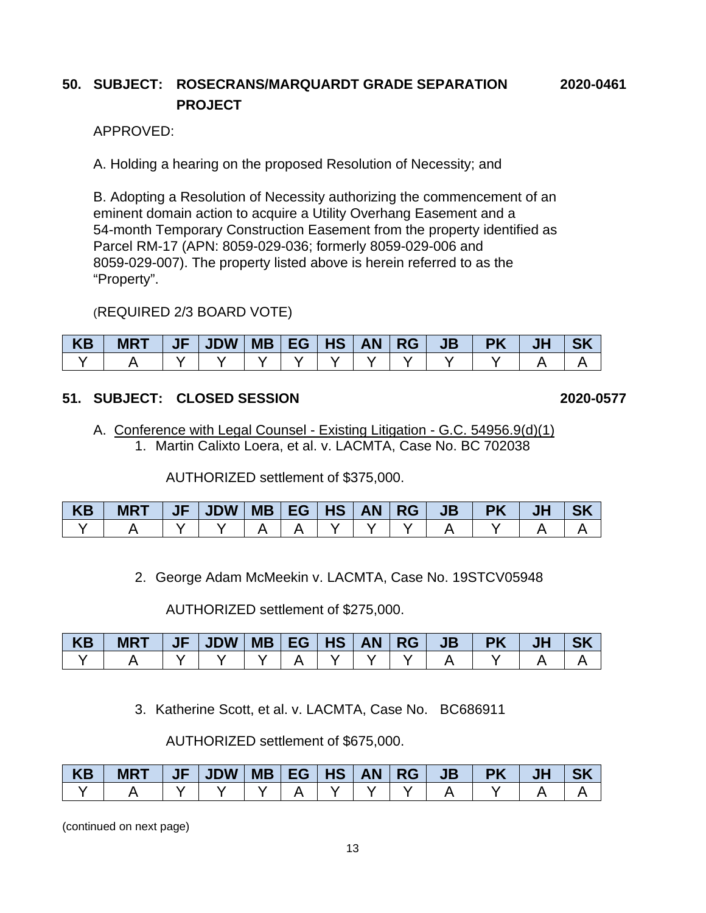## **50. SUBJECT: ROSECRANS/MARQUARDT GRADE SEPARATION 2020-0461 PROJECT**

### APPROVED:

A. Holding a hearing on the proposed Resolution of Necessity; and

B. Adopting a Resolution of Necessity authorizing the commencement of an eminent domain action to acquire a Utility Overhang Easement and a 54-month Temporary Construction Easement from the property identified as Parcel RM-17 (APN: 8059-029-036; formerly 8059-029-006 and 8059-029-007). The property listed above is herein referred to as the "Property".

## (REQUIRED 2/3 BOARD VOTE)

| KB | <b>MRT</b> | JF JDW   MB   EG   HS   AN   RG |  |  | JB | <b>PK</b> |  |
|----|------------|---------------------------------|--|--|----|-----------|--|
|    |            |                                 |  |  |    |           |  |

## **51. SUBJECT: CLOSED SESSION 2020-0577**

A. Conference with Legal Counsel - Existing Litigation - G.C. 54956.9(d)(1) 1. Martin Calixto Loera, et al. v. LACMTA, Case No. BC 702038

AUTHORIZED settlement of \$375,000.

| <b>KB</b> | <b>MRT</b> | JF | <b>JDW</b> |  |  | $MB$ EG   HS   AN   RG | <b>JB</b> | <b>PK</b> | JF |  |
|-----------|------------|----|------------|--|--|------------------------|-----------|-----------|----|--|
|           |            |    |            |  |  |                        |           |           |    |  |

2. George Adam McMeekin v. LACMTA, Case No. 19STCV05948

AUTHORIZED settlement of \$275,000.

| KB | <b>MRT</b> | $JF$ $ $ $JDW$ $ $ | MB   EG   HS   AN   RG |  |  | <b>JB</b> | <b>PK</b> | JH |  |
|----|------------|--------------------|------------------------|--|--|-----------|-----------|----|--|
|    |            |                    |                        |  |  |           |           |    |  |

3. Katherine Scott, et al. v. LACMTA, Case No. BC686911

AUTHORIZED settlement of \$675,000.

| KB | <b>MRT</b> | JF   JDW   MB   EG   HS   AN   RG |  |  | JB | <b>PK</b> |  |
|----|------------|-----------------------------------|--|--|----|-----------|--|
|    |            |                                   |  |  |    |           |  |

(continued on next page)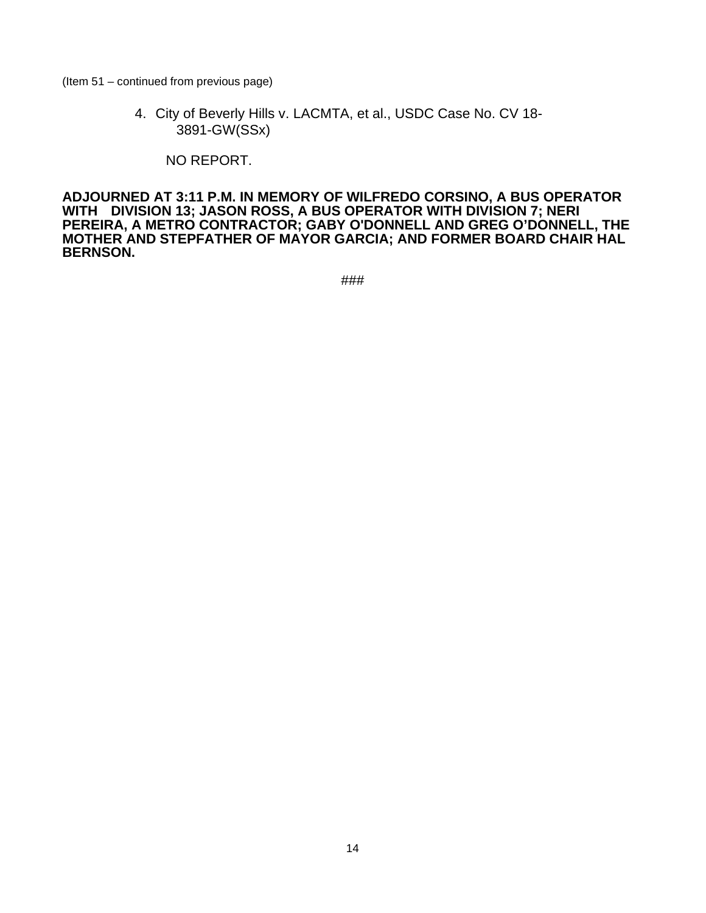(Item 51 – continued from previous page)

4. City of Beverly Hills v. LACMTA, et al., USDC Case No. CV 18- 3891-GW(SSx)

NO REPORT.

**ADJOURNED AT 3:11 P.M. IN MEMORY OF WILFREDO CORSINO, A BUS OPERATOR WITH DIVISION 13; JASON ROSS, A BUS OPERATOR WITH DIVISION 7; NERI PEREIRA, A METRO CONTRACTOR; GABY O'DONNELL AND GREG O'DONNELL, THE MOTHER AND STEPFATHER OF MAYOR GARCIA; AND FORMER BOARD CHAIR HAL BERNSON.**

###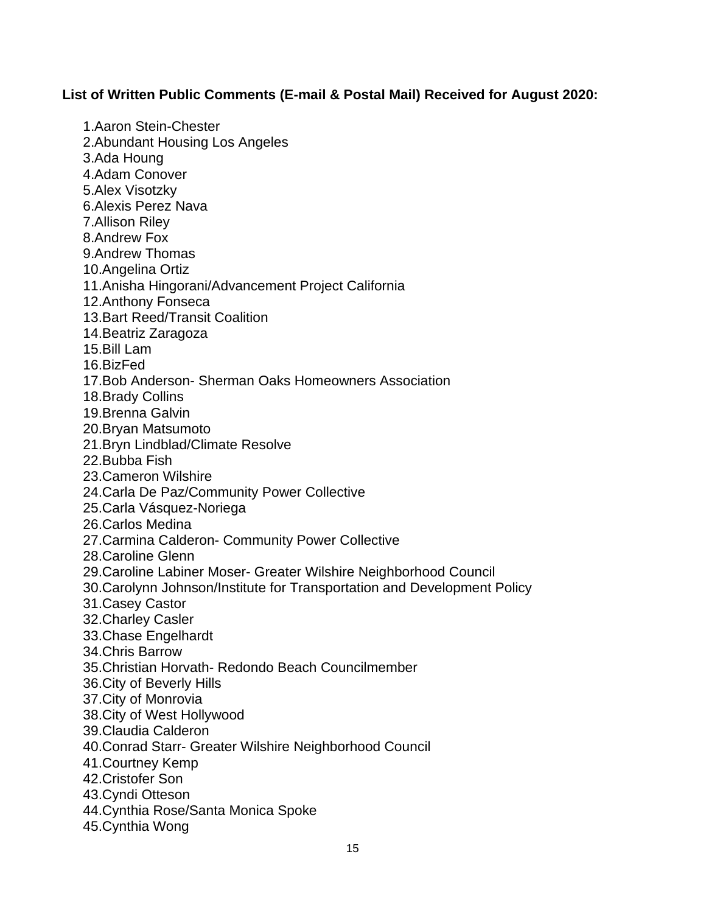## **List of Written Public Comments (E-mail & Postal Mail) Received for August 2020:**

1.Aaron Stein-Chester 2.Abundant Housing Los Angeles 3.Ada Houng 4.Adam Conover 5.Alex Visotzky 6.Alexis Perez Nava 7.Allison Riley 8.Andrew Fox 9.Andrew Thomas 10.Angelina Ortiz 11.Anisha Hingorani/Advancement Project California 12.Anthony Fonseca 13.Bart Reed/Transit Coalition 14.Beatriz Zaragoza 15.Bill Lam 16.BizFed 17.Bob Anderson- Sherman Oaks Homeowners Association 18.Brady Collins 19.Brenna Galvin 20.Bryan Matsumoto 21.Bryn Lindblad/Climate Resolve 22.Bubba Fish 23.Cameron Wilshire 24.Carla De Paz/Community Power Collective 25.Carla Vásquez-Noriega 26.Carlos Medina 27.Carmina Calderon- Community Power Collective 28.Caroline Glenn 29.Caroline Labiner Moser- Greater Wilshire Neighborhood Council 30.Carolynn Johnson/Institute for Transportation and Development Policy 31.Casey Castor 32.Charley Casler 33.Chase Engelhardt 34.Chris Barrow 35.Christian Horvath- Redondo Beach Councilmember 36.City of Beverly Hills 37.City of Monrovia 38.City of West Hollywood 39.Claudia Calderon 40.Conrad Starr- Greater Wilshire Neighborhood Council 41.Courtney Kemp 42.Cristofer Son 43.Cyndi Otteson 44.Cynthia Rose/Santa Monica Spoke 45.Cynthia Wong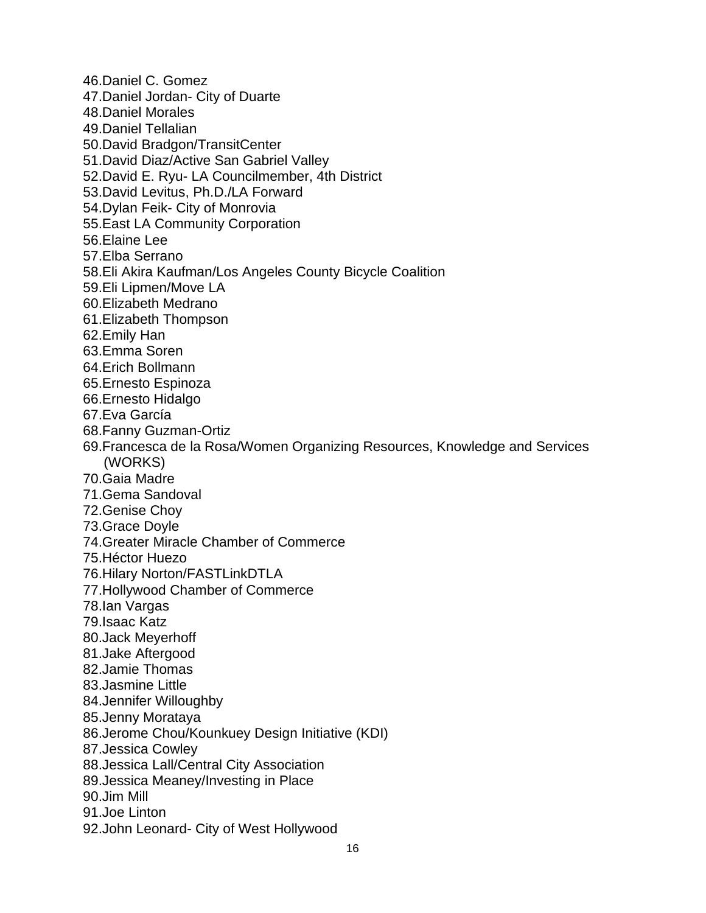46.Daniel C. Gomez 47.Daniel Jordan- City of Duarte 48.Daniel Morales 49.Daniel Tellalian 50.David Bradgon/TransitCenter 51.David Diaz/Active San Gabriel Valley 52.David E. Ryu- LA Councilmember, 4th District 53.David Levitus, Ph.D./LA Forward 54.Dylan Feik- City of Monrovia 55.East LA Community Corporation 56.Elaine Lee 57.Elba Serrano 58.Eli Akira Kaufman/Los Angeles County Bicycle Coalition 59.Eli Lipmen/Move LA 60.Elizabeth Medrano 61.Elizabeth Thompson 62.Emily Han 63.Emma Soren 64.Erich Bollmann 65.Ernesto Espinoza 66.Ernesto Hidalgo 67.Eva García 68.Fanny Guzman-Ortiz 69.Francesca de la Rosa/Women Organizing Resources, Knowledge and Services (WORKS) 70.Gaia Madre 71.Gema Sandoval 72.Genise Choy 73.Grace Doyle 74.Greater Miracle Chamber of Commerce 75.Héctor Huezo 76.Hilary Norton/FASTLinkDTLA 77.Hollywood Chamber of Commerce 78.Ian Vargas 79.Isaac Katz 80.Jack Meyerhoff 81.Jake Aftergood 82.Jamie Thomas 83.Jasmine Little 84.Jennifer Willoughby 85.Jenny Morataya 86.Jerome Chou/Kounkuey Design Initiative (KDI) 87.Jessica Cowley 88.Jessica Lall/Central City Association 89.Jessica Meaney/Investing in Place 90.Jim Mill 91.Joe Linton 92.John Leonard- City of West Hollywood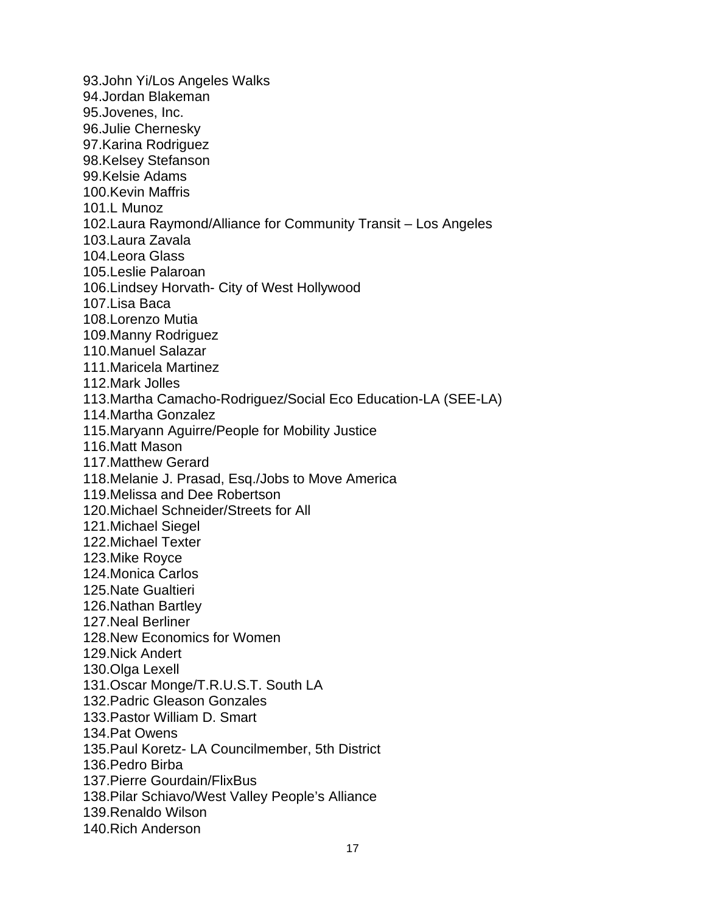93.John Yi/Los Angeles Walks 94.Jordan Blakeman 95.Jovenes, Inc. 96.Julie Chernesky 97.Karina Rodriguez 98.Kelsey Stefanson 99.Kelsie Adams 100.Kevin Maffris 101.L Munoz 102.Laura Raymond/Alliance for Community Transit – Los Angeles 103.Laura Zavala 104.Leora Glass 105.Leslie Palaroan 106.Lindsey Horvath- City of West Hollywood 107.Lisa Baca 108.Lorenzo Mutia 109.Manny Rodriguez 110.Manuel Salazar 111.Maricela Martinez 112.Mark Jolles 113.Martha Camacho-Rodriguez/Social Eco Education-LA (SEE-LA) 114.Martha Gonzalez 115.Maryann Aguirre/People for Mobility Justice 116.Matt Mason 117.Matthew Gerard 118.Melanie J. Prasad, Esq./Jobs to Move America 119.Melissa and Dee Robertson 120.Michael Schneider/Streets for All 121.Michael Siegel 122.Michael Texter 123.Mike Royce 124.Monica Carlos 125.Nate Gualtieri 126.Nathan Bartley 127.Neal Berliner 128.New Economics for Women 129.Nick Andert 130.Olga Lexell 131.Oscar Monge/T.R.U.S.T. South LA 132.Padric Gleason Gonzales 133.Pastor William D. Smart 134.Pat Owens 135.Paul Koretz- LA Councilmember, 5th District 136.Pedro Birba 137.Pierre Gourdain/FlixBus 138.Pilar Schiavo/West Valley People's Alliance 139.Renaldo Wilson 140.Rich Anderson